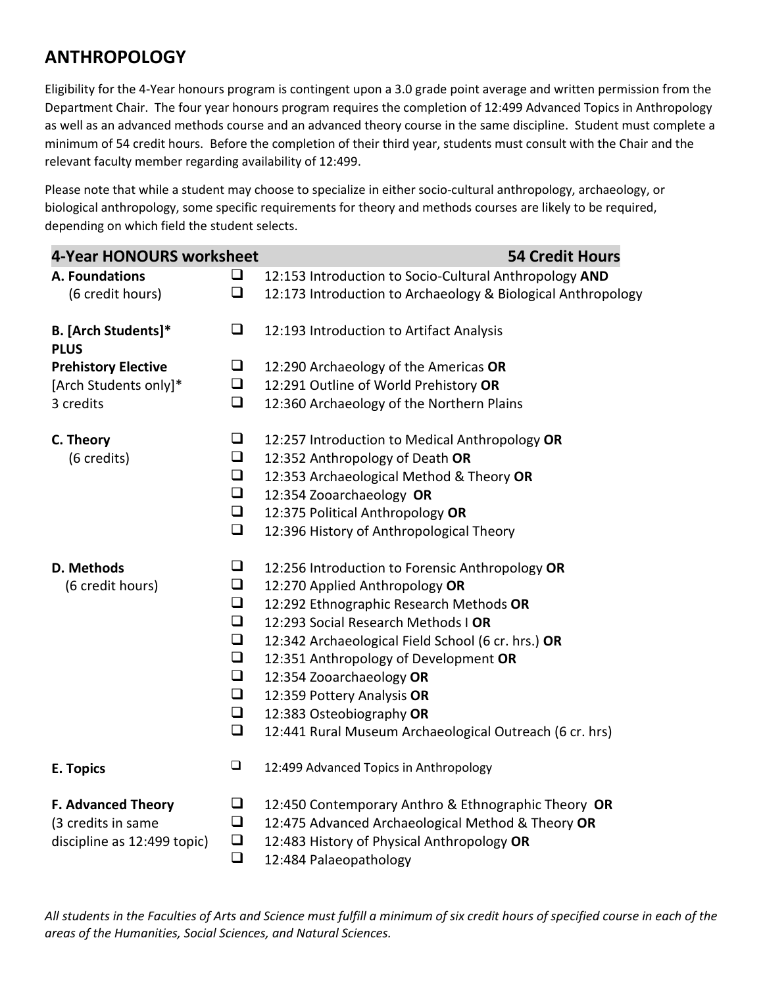## **ANTHROPOLOGY**

Eligibility for the 4-Year honours program is contingent upon a 3.0 grade point average and written permission from the Department Chair. The four year honours program requires the completion of 12:499 Advanced Topics in Anthropology as well as an advanced methods course and an advanced theory course in the same discipline. Student must complete a minimum of 54 credit hours. Before the completion of their third year, students must consult with the Chair and the relevant faculty member regarding availability of 12:499.

Please note that while a student may choose to specialize in either socio-cultural anthropology, archaeology, or biological anthropology, some specific requirements for theory and methods courses are likely to be required, depending on which field the student selects.

| <b>4-Year HONOURS worksheet</b>           |        | <b>54 Credit Hours</b>                                       |
|-------------------------------------------|--------|--------------------------------------------------------------|
| A. Foundations                            | ❏      | 12:153 Introduction to Socio-Cultural Anthropology AND       |
| (6 credit hours)                          | $\Box$ | 12:173 Introduction to Archaeology & Biological Anthropology |
| <b>B.</b> [Arch Students]*<br><b>PLUS</b> | $\Box$ | 12:193 Introduction to Artifact Analysis                     |
| <b>Prehistory Elective</b>                | $\Box$ | 12:290 Archaeology of the Americas OR                        |
| [Arch Students only]*                     | $\Box$ | 12:291 Outline of World Prehistory OR                        |
| 3 credits                                 | $\Box$ | 12:360 Archaeology of the Northern Plains                    |
| C. Theory                                 | $\Box$ | 12:257 Introduction to Medical Anthropology OR               |
| (6 credits)                               | $\Box$ | 12:352 Anthropology of Death OR                              |
|                                           | $\Box$ | 12:353 Archaeological Method & Theory OR                     |
|                                           | $\Box$ | 12:354 Zooarchaeology OR                                     |
|                                           | $\Box$ | 12:375 Political Anthropology OR                             |
|                                           | $\Box$ | 12:396 History of Anthropological Theory                     |
| D. Methods                                | $\Box$ | 12:256 Introduction to Forensic Anthropology OR              |
| (6 credit hours)                          | $\Box$ | 12:270 Applied Anthropology OR                               |
|                                           | $\Box$ | 12:292 Ethnographic Research Methods OR                      |
|                                           | $\Box$ | 12:293 Social Research Methods I OR                          |
|                                           | $\Box$ | 12:342 Archaeological Field School (6 cr. hrs.) OR           |
|                                           | $\Box$ | 12:351 Anthropology of Development OR                        |
|                                           | $\Box$ | 12:354 Zooarchaeology OR                                     |
|                                           | $\Box$ | 12:359 Pottery Analysis OR                                   |
|                                           | $\Box$ | 12:383 Osteobiography OR                                     |
|                                           | $\Box$ | 12:441 Rural Museum Archaeological Outreach (6 cr. hrs)      |
| E. Topics                                 | $\Box$ | 12:499 Advanced Topics in Anthropology                       |
| <b>F. Advanced Theory</b>                 | $\Box$ | 12:450 Contemporary Anthro & Ethnographic Theory OR          |
| (3 credits in same                        | $\Box$ | 12:475 Advanced Archaeological Method & Theory OR            |
| discipline as 12:499 topic)               | $\Box$ | 12:483 History of Physical Anthropology OR                   |
|                                           | $\Box$ | 12:484 Palaeopathology                                       |

*All students in the Faculties of Arts and Science must fulfill a minimum of six credit hours of specified course in each of the areas of the Humanities, Social Sciences, and Natural Sciences.*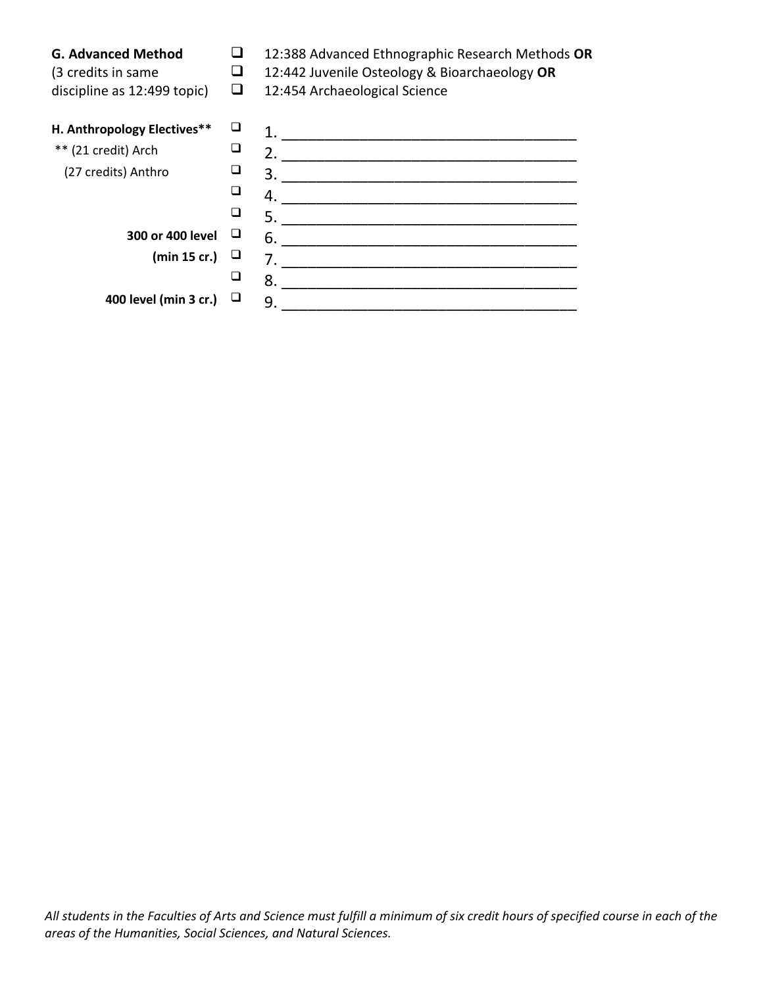| <b>G. Advanced Method</b><br>(3 credits in same<br>discipline as 12:499 topic) | ⊔<br>⊔ | 12:388 Advanced Ethnographic Research Methods OR<br>12:442 Juvenile Osteology & Bioarchaeology OR<br>12:454 Archaeological Science |
|--------------------------------------------------------------------------------|--------|------------------------------------------------------------------------------------------------------------------------------------|
| H. Anthropology Electives**                                                    | ⊔      |                                                                                                                                    |
| ** (21 credit) Arch                                                            | ❏      | 2.                                                                                                                                 |
| (27 credits) Anthro                                                            |        | 3.                                                                                                                                 |
|                                                                                |        | 4.                                                                                                                                 |
|                                                                                |        | 5.                                                                                                                                 |
| 300 or 400 level                                                               |        | 6.                                                                                                                                 |
| (min 15 cr.)                                                                   |        | 7.                                                                                                                                 |
|                                                                                |        | 8.                                                                                                                                 |
| 400 level (min 3 cr.)                                                          |        | 9.                                                                                                                                 |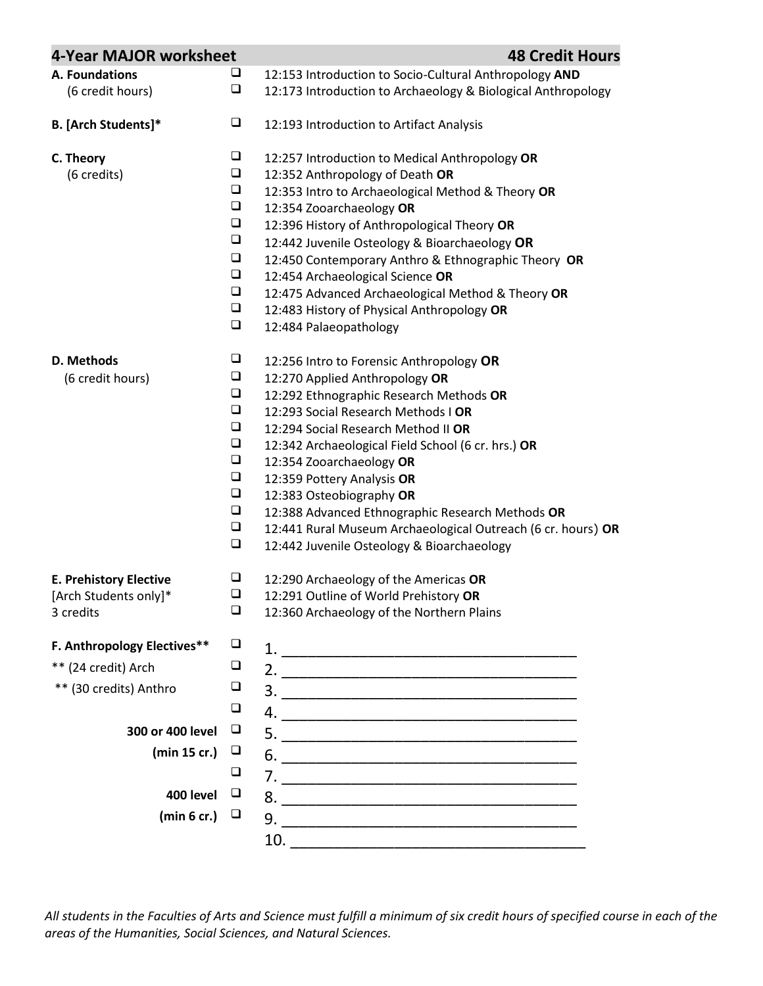| 4-Year MAJOR worksheet        |        | <b>48 Credit Hours</b>                                       |
|-------------------------------|--------|--------------------------------------------------------------|
| A. Foundations                | $\Box$ | 12:153 Introduction to Socio-Cultural Anthropology AND       |
| (6 credit hours)              | $\Box$ | 12:173 Introduction to Archaeology & Biological Anthropology |
| B. [Arch Students]*           | $\Box$ | 12:193 Introduction to Artifact Analysis                     |
| C. Theory                     | $\Box$ | 12:257 Introduction to Medical Anthropology OR               |
| (6 credits)                   | $\Box$ | 12:352 Anthropology of Death OR                              |
|                               | $\Box$ | 12:353 Intro to Archaeological Method & Theory OR            |
|                               | $\Box$ | 12:354 Zooarchaeology OR                                     |
|                               | $\Box$ | 12:396 History of Anthropological Theory OR                  |
|                               | $\Box$ | 12:442 Juvenile Osteology & Bioarchaeology OR                |
|                               | $\Box$ | 12:450 Contemporary Anthro & Ethnographic Theory OR          |
|                               | $\Box$ | 12:454 Archaeological Science OR                             |
|                               | $\Box$ | 12:475 Advanced Archaeological Method & Theory OR            |
|                               | $\Box$ | 12:483 History of Physical Anthropology OR                   |
|                               | $\Box$ | 12:484 Palaeopathology                                       |
| D. Methods                    | $\Box$ | 12:256 Intro to Forensic Anthropology OR                     |
| (6 credit hours)              | $\Box$ | 12:270 Applied Anthropology OR                               |
|                               | $\Box$ | 12:292 Ethnographic Research Methods OR                      |
|                               | $\Box$ | 12:293 Social Research Methods I OR                          |
|                               | $\Box$ | 12:294 Social Research Method II OR                          |
|                               | $\Box$ | 12:342 Archaeological Field School (6 cr. hrs.) OR           |
|                               | $\Box$ | 12:354 Zooarchaeology OR                                     |
|                               | $\Box$ | 12:359 Pottery Analysis OR                                   |
|                               | $\Box$ | 12:383 Osteobiography OR                                     |
|                               | $\Box$ | 12:388 Advanced Ethnographic Research Methods OR             |
|                               | $\Box$ | 12:441 Rural Museum Archaeological Outreach (6 cr. hours) OR |
|                               | $\Box$ | 12:442 Juvenile Osteology & Bioarchaeology                   |
| <b>E. Prehistory Elective</b> | $\Box$ | 12:290 Archaeology of the Americas OR                        |
| [Arch Students only]*         | $\Box$ | 12:291 Outline of World Prehistory OR                        |
| 3 credits                     | $\Box$ | 12:360 Archaeology of the Northern Plains                    |
| F. Anthropology Electives**   | $\Box$ |                                                              |
| ** (24 credit) Arch           | $\Box$ |                                                              |
| ** (30 credits) Anthro        | $\Box$ |                                                              |
|                               | $\Box$ |                                                              |
| 300 or 400 level              | $\Box$ |                                                              |
| (min 15 cr.)                  | $\Box$ |                                                              |
|                               | $\Box$ | $6.$ $\overline{\phantom{a}}$                                |
| 400 level                     | $\Box$ |                                                              |
| (min 6 cr.)                   | ⊔      |                                                              |
|                               |        | 10.                                                          |

*All students in the Faculties of Arts and Science must fulfill a minimum of six credit hours of specified course in each of the areas of the Humanities, Social Sciences, and Natural Sciences.*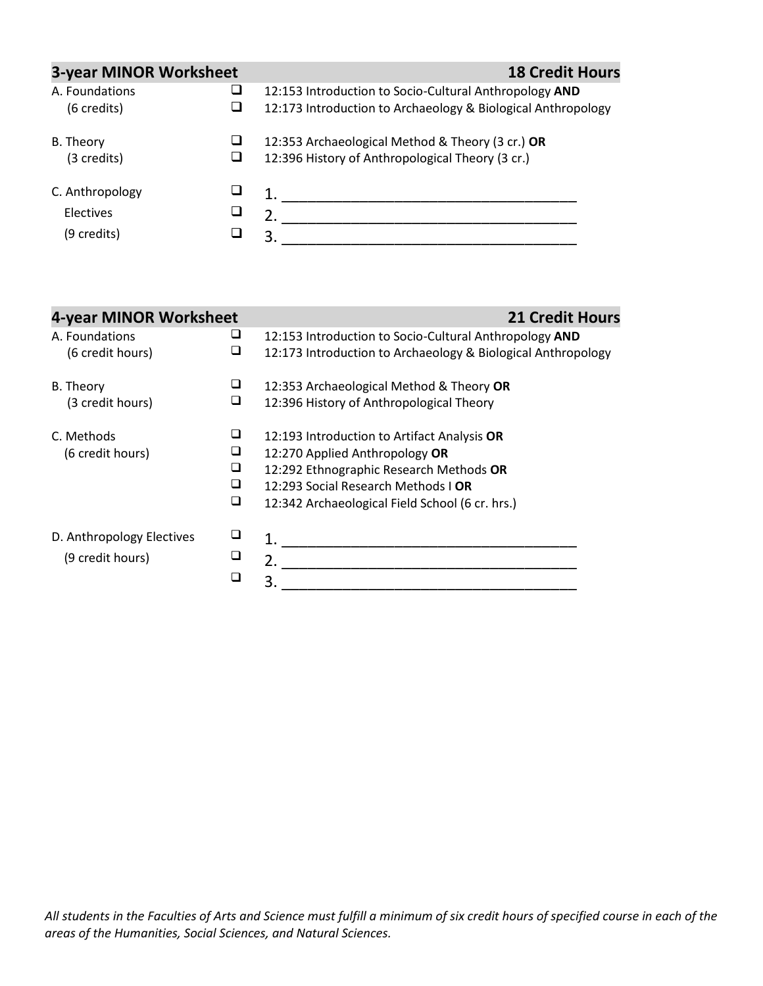| <b>3-year MINOR Worksheet</b>               |   | <b>18 Credit Hours</b>                                                                                                 |
|---------------------------------------------|---|------------------------------------------------------------------------------------------------------------------------|
| A. Foundations<br>(6 credits)               |   | 12:153 Introduction to Socio-Cultural Anthropology AND<br>12:173 Introduction to Archaeology & Biological Anthropology |
| B. Theory<br>(3 credits)                    | ⊔ | 12:353 Archaeological Method & Theory (3 cr.) OR<br>12:396 History of Anthropological Theory (3 cr.)                   |
| C. Anthropology<br>Electives<br>(9 credits) |   | 2.<br>3                                                                                                                |

| 4-year MINOR Worksheet                        |                       | <b>21 Credit Hours</b>                                                                                                                                                                                             |
|-----------------------------------------------|-----------------------|--------------------------------------------------------------------------------------------------------------------------------------------------------------------------------------------------------------------|
| A. Foundations<br>(6 credit hours)            | ⊔<br>⊔                | 12:153 Introduction to Socio-Cultural Anthropology AND<br>12:173 Introduction to Archaeology & Biological Anthropology                                                                                             |
| <b>B.</b> Theory<br>(3 credit hours)          | ⊔<br>⊔                | 12:353 Archaeological Method & Theory OR<br>12:396 History of Anthropological Theory                                                                                                                               |
| C. Methods<br>(6 credit hours)                | ❏<br>⊔<br>❏<br>❏<br>❏ | 12:193 Introduction to Artifact Analysis OR<br>12:270 Applied Anthropology OR<br>12:292 Ethnographic Research Methods OR<br>12:293 Social Research Methods I OR<br>12:342 Archaeological Field School (6 cr. hrs.) |
| D. Anthropology Electives<br>(9 credit hours) | ❏<br>❏<br>❏           | 2.<br>3                                                                                                                                                                                                            |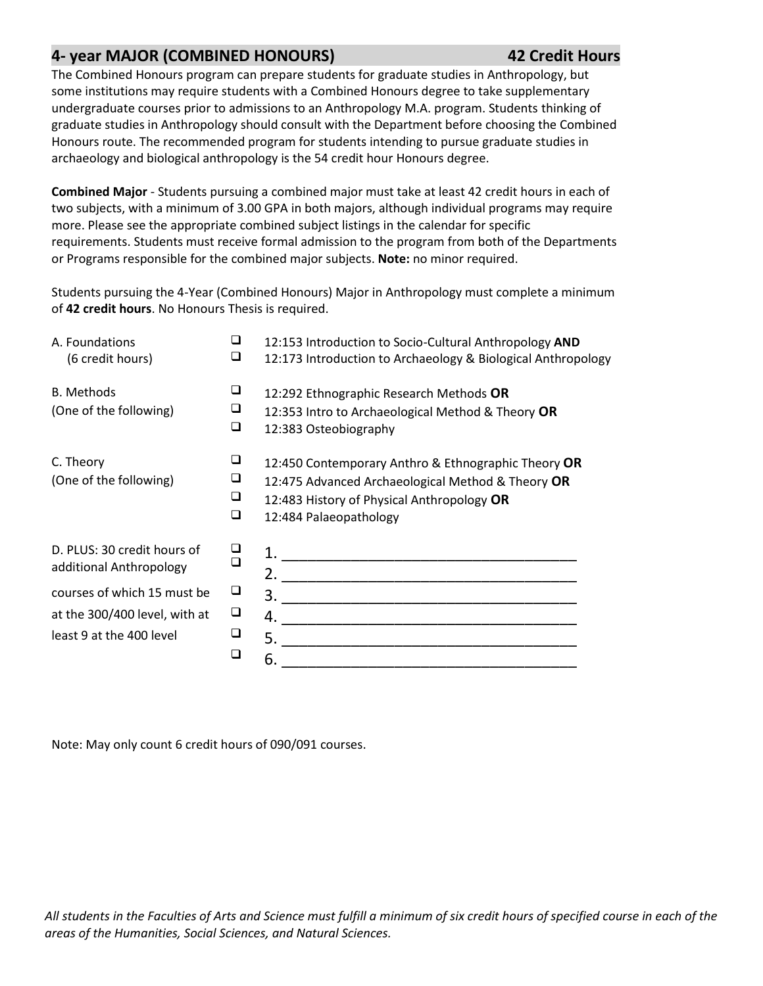## **4- year MAJOR (COMBINED HONOURS) 42 Credit Hours**

The Combined Honours program can prepare students for graduate studies in Anthropology, but some institutions may require students with a Combined Honours degree to take supplementary undergraduate courses prior to admissions to an Anthropology M.A. program. Students thinking of graduate studies in Anthropology should consult with the Department before choosing the Combined Honours route. The recommended program for students intending to pursue graduate studies in archaeology and biological anthropology is the 54 credit hour Honours degree.

**Combined Major** - Students pursuing a combined major must take at least 42 credit hours in each of two subjects, with a minimum of 3.00 GPA in both majors, although individual programs may require more. Please see the appropriate combined subject listings in the calendar for specific requirements. Students must receive formal admission to the program from both of the Departments or Programs responsible for the combined major subjects. **Note:** no minor required.

Students pursuing the 4-Year (Combined Honours) Major in Anthropology must complete a minimum of **42 credit hours**. No Honours Thesis is required.

| A. Foundations<br>(6 credit hours)                     | ⊔<br>❏      | 12:153 Introduction to Socio-Cultural Anthropology AND<br>12:173 Introduction to Archaeology & Biological Anthropology                                                           |
|--------------------------------------------------------|-------------|----------------------------------------------------------------------------------------------------------------------------------------------------------------------------------|
| <b>B.</b> Methods<br>(One of the following)            | ❏<br>⊔<br>❏ | 12:292 Ethnographic Research Methods OR<br>12:353 Intro to Archaeological Method & Theory OR<br>12:383 Osteobiography                                                            |
| C. Theory<br>(One of the following)                    | ❏<br>⊔<br>◻ | 12:450 Contemporary Anthro & Ethnographic Theory OR<br>12:475 Advanced Archaeological Method & Theory OR<br>12:483 History of Physical Anthropology OR<br>12:484 Palaeopathology |
| D. PLUS: 30 credit hours of<br>additional Anthropology | □           |                                                                                                                                                                                  |
| courses of which 15 must be                            | ⊔           |                                                                                                                                                                                  |
| at the 300/400 level, with at                          | ❏           |                                                                                                                                                                                  |
| least 9 at the 400 level                               | ❏           |                                                                                                                                                                                  |
|                                                        | □           | 6.                                                                                                                                                                               |

Note: May only count 6 credit hours of 090/091 courses.

*All students in the Faculties of Arts and Science must fulfill a minimum of six credit hours of specified course in each of the areas of the Humanities, Social Sciences, and Natural Sciences.*